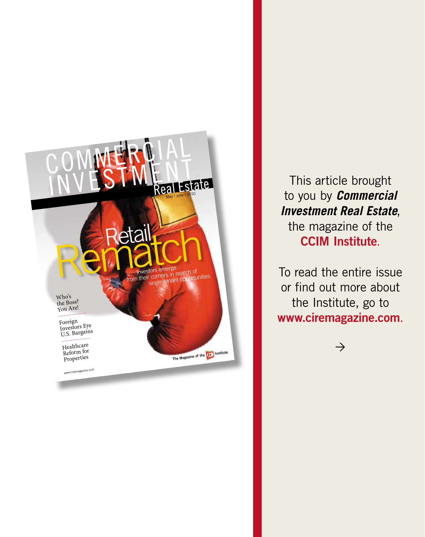

This article brought to you by *Commercial Investment Real Estate*, the magazine of the **CCIM Institute**.

To read the entire issue or find out more about the Institute, go to **www.ciremagazine.com**.

 $\rightarrow$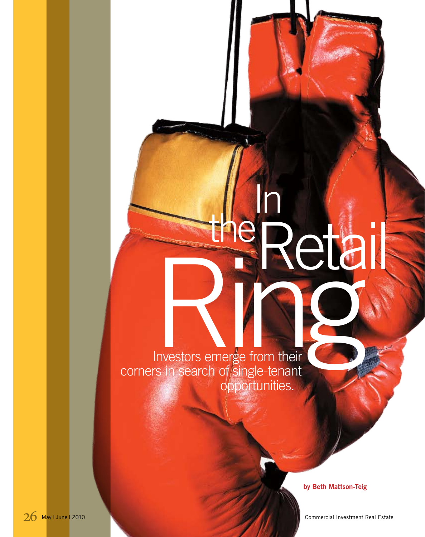# the In Retail Retail

 Investors emerge from their corners in search of single-tenant opportunities.

**by Beth Mattson-Teig**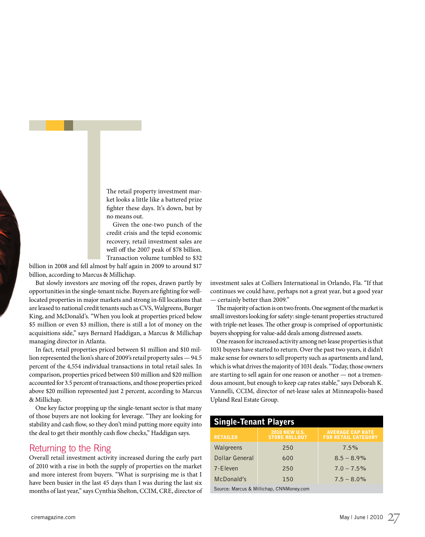The retail property investment market looks a little like a battered prize fighter these days. It's down, but by no means out.

Given the one-two punch of the credit crisis and the tepid economic recovery, retail investment sales are well off the 2007 peak of \$78 billion. Transaction volume tumbled to \$32

billion in 2008 and fell almost by half again in 2009 to around \$17 billion, according to Marcus & Millichap.

But slowly investors are moving off the ropes, drawn partly by opportunities in the single-tenant niche. Buyers are fighting for welllocated properties in major markets and strong in-fill locations that are leased to national credit tenants such as CVS, Walgreens, Burger King, and McDonald's. "When you look at properties priced below \$5 million or even \$3 million, there is still a lot of money on the acquisitions side," says Bernard Haddigan, a Marcus & Millichap managing director in Atlanta.

In fact, retail properties priced between \$1 million and \$10 million represented the lion's share of 2009's retail property sales — 94.5 percent of the 4,554 individual transactions in total retail sales. In comparison, properties priced between \$10 million and \$20 million accounted for 3.5 percent of transactions, and those properties priced above \$20 million represented just 2 percent, according to Marcus & Millichap.

One key factor propping up the single-tenant sector is that many of those buyers are not looking for leverage. "They are looking for stability and cash flow, so they don't mind putting more equity into the deal to get their monthly cash flow checks," Haddigan says.

# Returning to the Ring

Overall retail investment activity increased during the early part of 2010 with a rise in both the supply of properties on the market and more interest from buyers. "What is surprising me is that I have been busier in the last 45 days than I was during the last six months of last year," says Cynthia Shelton, CCIM, CRE, director of investment sales at Colliers International in Orlando, Fla. "If that continues we could have, perhaps not a great year, but a good year — certainly better than 2009."

The majority of action is on two fronts. One segment of the market is small investors looking for safety: single-tenant properties structured with triple-net leases. The other group is comprised of opportunistic buyers shopping for value-add deals among distressed assets.

One reason for increased activity among net-lease properties is that 1031 buyers have started to return. Over the past two years, it didn't make sense for owners to sell property such as apartments and land, which is what drives the majority of 1031 deals. "Today, those owners are starting to sell again for one reason or another — not a tremendous amount, but enough to keep cap rates stable," says Deborah K. Vannelli, CCIM, director of net-lease sales at Minneapolis-based Upland Real Estate Group.

| <b>Single-Tenant Players</b>             |                                              |                                                       |  |
|------------------------------------------|----------------------------------------------|-------------------------------------------------------|--|
| <b>RETAILER</b>                          | <b>2010 NEW U.S.</b><br><b>STORE ROLLOUT</b> | <b>AVERAGE CAP RATE</b><br><b>FOR RETAIL CATEGORY</b> |  |
| Walgreens                                | 250                                          | 7.5%                                                  |  |
| Dollar General                           | 600                                          | $8.5 - 8.9\%$                                         |  |
| 7-Eleven                                 | 250                                          | $7.0 - 7.5\%$                                         |  |
| McDonald's                               | 150                                          | $7.5 - 8.0\%$                                         |  |
| Source: Marcus & Millichap, CNNMoney.com |                                              |                                                       |  |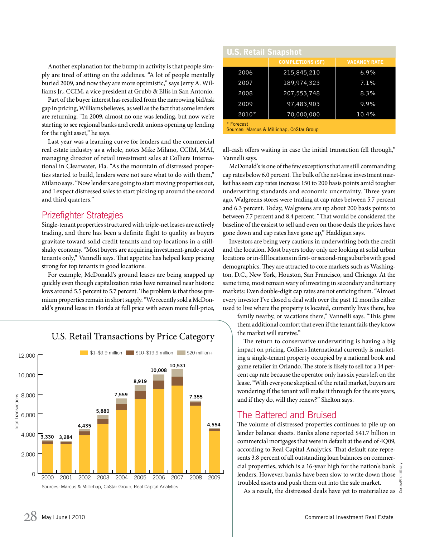Another explanation for the bump in activity is that people simply are tired of sitting on the sidelines. "A lot of people mentally buried 2009, and now they are more optimistic," says Jerry A. Williams Jr., CCIM, a vice president at Grubb & Ellis in San Antonio.

Part of the buyer interest has resulted from the narrowing bid/ask gap in pricing, Williams believes, as well as the fact that some lenders are returning. "In 2009, almost no one was lending, but now we're starting to see regional banks and credit unions opening up lending for the right asset," he says.

Last year was a learning curve for lenders and the commercial real estate industry as a whole, notes Mike Milano, CCIM, MAI, managing director of retail investment sales at Colliers International in Clearwater, Fla. "As the mountain of distressed properties started to build, lenders were not sure what to do with them," Milano says. "Now lenders are going to start moving properties out, and I expect distressed sales to start picking up around the second and third quarters."

# Prizefighter Strategies

Single-tenant properties structured with triple-net leases are actively trading, and there has been a definite flight to quality as buyers gravitate toward solid credit tenants and top locations in a stillshaky economy. "Most buyers are acquiring investment-grade-rated tenants only," Vannelli says. That appetite has helped keep pricing strong for top tenants in good locations.

For example, McDonald's ground leases are being snapped up quickly even though capitalization rates have remained near historic lows around 5.5 percent to 5.7 percent. The problem is that those premium properties remain in short supply. "We recently sold a McDonald's ground lease in Florida at full price with seven more full-price,



# U.S. Retail Transactions by Price Category

| <b>U.S. Retail Snapshot</b> |                         |                     |
|-----------------------------|-------------------------|---------------------|
|                             | <b>COMPLETIONS (SF)</b> | <b>VACANCY RATE</b> |
| 2006                        | 215,845,210             | $6.9\%$             |
| 2007                        | 189,974,323             | 7.1%                |
| 2008                        | 207, 553, 748           | 8.3%                |
| 2009                        | 97,483,903              | 9.9%                |
| $2010*$                     | 70,000,000              | 10.4%               |
| * Forecast                  |                         |                     |

Sources: Marcus & Millichap, CoStar Group

all-cash offers waiting in case the initial transaction fell through," Vannelli says.

McDonald's is one of the few exceptions that are still commanding cap rates below 6.0 percent. The bulk of the net-lease investment market has seen cap rates increase 150 to 200 basis points amid tougher underwriting standards and economic uncertainty. Three years ago, Walgreens stores were trading at cap rates between 5.7 percent and 6.3 percent. Today, Walgreens are up about 200 basis points to between 7.7 percent and 8.4 percent. "That would be considered the baseline of the easiest to sell and even on those deals the prices have gone down and cap rates have gone up," Haddigan says.

Investors are being very cautious in underwriting both the credit and the location. Most buyers today only are looking at solid urban locations or in-fill locations in first- or second-ring suburbs with good demographics. They are attracted to core markets such as Washington, D.C., New York, Houston, San Francisco, and Chicago. At the same time, most remain wary of investing in secondary and tertiary markets: Even double-digit cap rates are not enticing them. "Almost every investor I've closed a deal with over the past 12 months either used to live where the property is located, currently lives there, has

family nearby, or vacations there," Vannelli says. "This gives them additional comfort that even if the tenant fails they know the market will survive."

The return to conservative underwriting is having a big impact on pricing. Colliers International currently is marketing a single-tenant property occupied by a national book and game retailer in Orlando. The store is likely to sell for a 14 percent cap rate because the operator only has six years left on the lease. "With everyone skeptical of the retail market, buyers are wondering if the tenant will make it through for the six years, and if they do, will they renew?" Shelton says.

# The Battered and Bruised

The volume of distressed properties continues to pile up on lender balance sheets. Banks alone reported \$41.7 billion in commercial mortgages that were in default at the end of 4Q09, according to Real Capital Analytics. That default rate represents 3.8 percent of all outstanding loan balances on commercial properties, which is a 16-year high for the nation's bank lenders. However, banks have been slow to write down those troubled assets and push them out into the sale market.

As a result, the distressed deals have yet to materialize as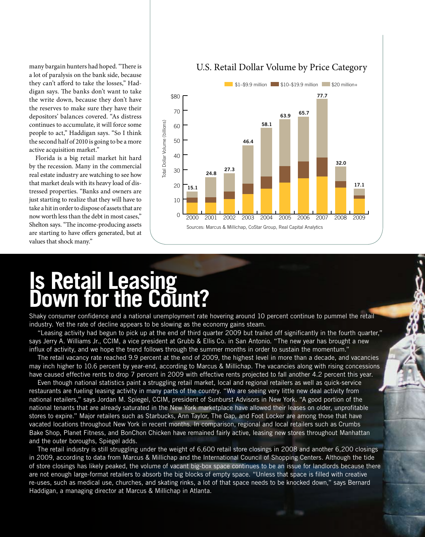many bargain hunters had hoped. "There is a lot of paralysis on the bank side, because they can't afford to take the losses," Haddigan says. The banks don't want to take the write down, because they don't have the reserves to make sure they have their depositors' balances covered. "As distress continues to accumulate, it will force some people to act," Haddigan says. "So I think the second half of 2010 is going to be a more active acquisition market."

Florida is a big retail market hit hard by the recession. Many in the commercial real estate industry are watching to see how that market deals with its heavy load of distressed properties. "Banks and owners are just starting to realize that they will have to take a hit in order to dispose of assets that are now worth less than the debt in most cases," Shelton says. "The income-producing assets are starting to have offers generated, but at values that shock many."



### U.S. Retail Dollar Volume by Price Category

# **Is Retail Leasing Down for the Count?**

Shaky consumer confidence and a national unemployment rate hovering around 10 percent continue to pummel the retail industry. Yet the rate of decline appears to be slowing as the economy gains steam.

"Leasing activity had begun to pick up at the end of third quarter 2009 but trailed off significantly in the fourth quarter," says Jerry A. Williams Jr., CCIM, a vice president at Grubb & Ellis Co. in San Antonio. "The new year has brought a new influx of activity, and we hope the trend follows through the summer months in order to sustain the momentum."

The retail vacancy rate reached 9.9 percent at the end of 2009, the highest level in more than a decade, and vacancies may inch higher to 10.6 percent by year-end, according to Marcus & Millichap. The vacancies along with rising concessions have caused effective rents to drop 7 percent in 2009 with effective rents projected to fall another 4.2 percent this year.

Even though national statistics paint a struggling retail market, local and regional retailers as well as quick-service restaurants are fueling leasing activity in many parts of the country. "We are seeing very little new deal activity from national retailers," says Jordan M. Spiegel, CCIM, president of Sunburst Advisors in New York. "A good portion of the national tenants that are already saturated in the New York marketplace have allowed their leases on older, unprofitable stores to expire." Major retailers such as Starbucks, Ann Taylor, The Gap, and Foot Locker are among those that have vacated locations throughout New York in recent months. In comparison, regional and local retailers such as Crumbs Bake Shop, Planet Fitness, and BonChon Chicken have remained fairly active, leasing new stores throughout Manhattan and the outer boroughs, Spiegel adds.

The retail industry is still struggling under the weight of 6,600 retail store closings in 2008 and another 6,200 closings in 2009, according to data from Marcus & Millichap and the International Council of Shopping Centers. Although the tide of store closings has likely peaked, the volume of vacant big-box space continues to be an issue for landlords because there are not enough large-format retailers to absorb the big blocks of empty space. "Unless that space is filled with creative re-uses, such as medical use, churches, and skating rinks, a lot of that space needs to be knocked down," says Bernard Haddigan, a managing director at Marcus & Millichap in Atlanta.